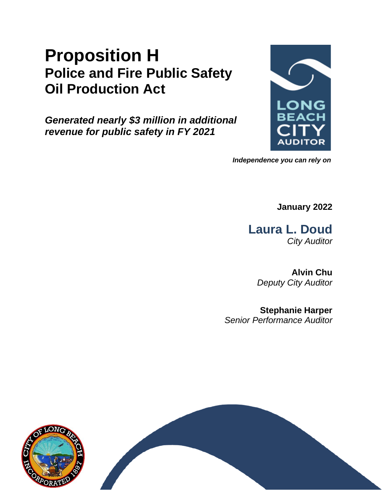# **Proposition H Police and Fire Public Safety Oil Production Act**

*Generated nearly \$3 million in additional revenue for public safety in FY 2021*



*Independence you can rely on*

**January 2022**

**Laura L. Doud** *City Auditor*

> **Alvin Chu** *Deputy City Auditor*

**Stephanie Harper** *Senior Performance Auditor*

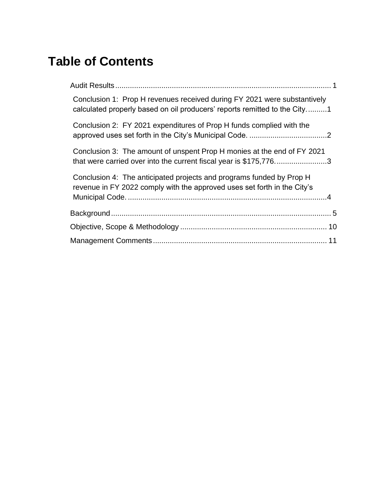# **Table of Contents**

| Conclusion 1: Prop H revenues received during FY 2021 were substantively<br>calculated properly based on oil producers' reports remitted to the City1 |  |
|-------------------------------------------------------------------------------------------------------------------------------------------------------|--|
| Conclusion 2: FY 2021 expenditures of Prop H funds complied with the                                                                                  |  |
| Conclusion 3: The amount of unspent Prop H monies at the end of FY 2021<br>that were carried over into the current fiscal year is \$175,7763          |  |
| Conclusion 4: The anticipated projects and programs funded by Prop H<br>revenue in FY 2022 comply with the approved uses set forth in the City's      |  |
|                                                                                                                                                       |  |
|                                                                                                                                                       |  |
|                                                                                                                                                       |  |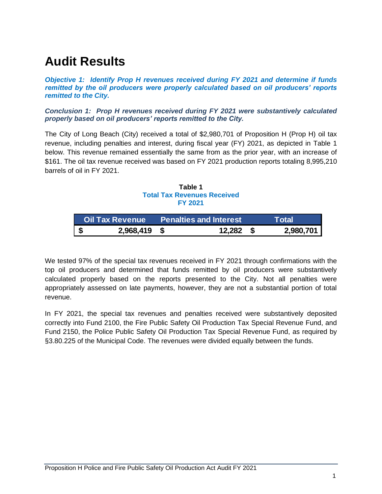# <span id="page-2-0"></span>**Audit Results**

*Objective 1: Identify Prop H revenues received during FY 2021 and determine if funds remitted by the oil producers were properly calculated based on oil producers' reports remitted to the City.*

<span id="page-2-1"></span>*Conclusion 1: Prop H revenues received during FY 2021 were substantively calculated properly based on oil producers' reports remitted to the City.*

The City of Long Beach (City) received a total of \$2,980,701 of Proposition H (Prop H) oil tax revenue, including penalties and interest, during fiscal year (FY) 2021, as depicted in Table 1 below. This revenue remained essentially the same from as the prior year, with an increase of \$161. The oil tax revenue received was based on FY 2021 production reports totaling 8,995,210 barrels of oil in FY 2021.

**Table 1 Total Tax Revenues Received FY 2021**

| <b>Oil Tax Revenue</b> |  | <b>Penalties and Interest</b> | <b>Total</b> |
|------------------------|--|-------------------------------|--------------|
| 2,968,419              |  | 12,282                        | 2,980,701    |

We tested 97% of the special tax revenues received in FY 2021 through confirmations with the top oil producers and determined that funds remitted by oil producers were substantively calculated properly based on the reports presented to the City. Not all penalties were appropriately assessed on late payments, however, they are not a substantial portion of total revenue.

In FY 2021, the special tax revenues and penalties received were substantively deposited correctly into Fund 2100, the Fire Public Safety Oil Production Tax Special Revenue Fund, and Fund 2150, the Police Public Safety Oil Production Tax Special Revenue Fund, as required by §3.80.225 of the Municipal Code. The revenues were divided equally between the funds.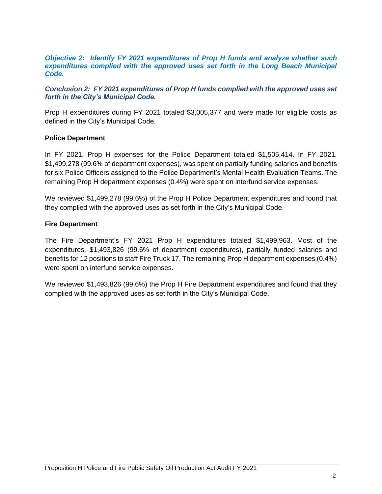#### *Objective 2: Identify FY 2021 expenditures of Prop H funds and analyze whether such*  expenditures complied with the approved uses set forth in the Long Beach Municipal *Code.*

<span id="page-3-0"></span>*Conclusion 2: FY 2021 expenditures of Prop H funds complied with the approved uses set forth in the City's Municipal Code.*

Prop H expenditures during FY 2021 totaled \$3,005,377 and were made for eligible costs as defined in the City's Municipal Code.

#### **Police Department**

In FY 2021, Prop H expenses for the Police Department totaled \$1,505,414. In FY 2021, \$1,499,278 (99.6% of department expenses), was spent on partially funding salaries and benefits for six Police Officers assigned to the Police Department's Mental Health Evaluation Teams. The remaining Prop H department expenses (0.4%) were spent on interfund service expenses.

We reviewed \$1,499,278 (99.6%) of the Prop H Police Department expenditures and found that they complied with the approved uses as set forth in the City's Municipal Code.

#### **Fire Department**

The Fire Department's FY 2021 Prop H expenditures totaled \$1,499,963. Most of the expenditures, \$1,493,826 (99.6% of department expenditures), partially funded salaries and benefits for 12 positions to staff Fire Truck 17. The remaining Prop H department expenses (0.4%) were spent on interfund service expenses.

We reviewed \$1,493,826 (99.6%) the Prop H Fire Department expenditures and found that they complied with the approved uses as set forth in the City's Municipal Code.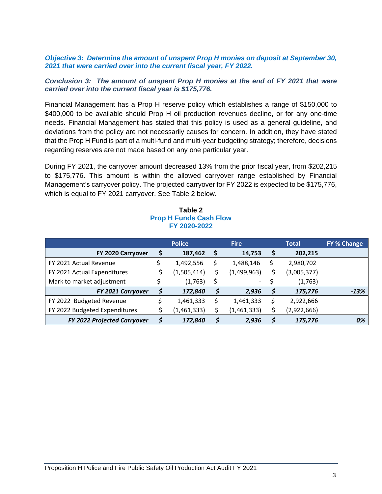#### *Objective 3: Determine the amount of unspent Prop H monies on deposit at September 30, 2021 that were carried over into the current fiscal year, FY 2022.*

#### <span id="page-4-0"></span>*Conclusion 3: The amount of unspent Prop H monies at the end of FY 2021 that were carried over into the current fiscal year is \$175,776.*

Financial Management has a Prop H reserve policy which establishes a range of \$150,000 to \$400,000 to be available should Prop H oil production revenues decline, or for any one-time needs. Financial Management has stated that this policy is used as a general guideline, and deviations from the policy are not necessarily causes for concern. In addition, they have stated that the Prop H Fund is part of a multi-fund and multi-year budgeting strategy; therefore, decisions regarding reserves are not made based on any one particular year.

During FY 2021, the carryover amount decreased 13% from the prior fiscal year, from \$202,215 to \$175,776. This amount is within the allowed carryover range established by Financial Management's carryover policy. The projected carryover for FY 2022 is expected to be \$175,776, which is equal to FY 2021 carryover. See Table 2 below.

| Table 2                       |  |
|-------------------------------|--|
| <b>Prop H Funds Cash Flow</b> |  |
| FY 2020-2022                  |  |

|                                    | <b>Police</b> | <b>Fire</b> |                          | <b>Total</b> |             | <b>FY % Change</b> |
|------------------------------------|---------------|-------------|--------------------------|--------------|-------------|--------------------|
| FY 2020 Carryover                  | 187,462       | Ş           | 14,753                   |              | 202,215     |                    |
| FY 2021 Actual Revenue             | 1,492,556     |             | 1,488,146                | \$           | 2,980,702   |                    |
| FY 2021 Actual Expenditures        | (1,505,414)   | \$          | (1,499,963)              |              | (3,005,377) |                    |
| Mark to market adjustment          | (1,763)       |             | $\overline{\phantom{0}}$ |              | (1,763)     |                    |
| <b>FY 2021 Carryover</b>           | 172,840       | \$          | 2,936                    |              | 175,776     | $-13%$             |
| FY 2022 Budgeted Revenue           | 1,461,333     |             | 1,461,333                |              | 2,922,666   |                    |
| FY 2022 Budgeted Expenditures      | (1,461,333)   |             | (1,461,333)              |              | (2,922,666) |                    |
| <b>FY 2022 Projected Carryover</b> | 172,840       | ċ           | 2,936                    |              | 175,776     | 0%                 |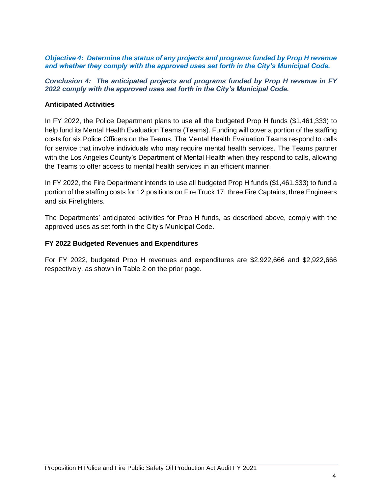#### *Objective 4: Determine the status of any projects and programs funded by Prop H revenue and whether they comply with the approved uses set forth in the City's Municipal Code.*

<span id="page-5-0"></span>*Conclusion 4: The anticipated projects and programs funded by Prop H revenue in FY 2022 comply with the approved uses set forth in the City's Municipal Code.*

#### **Anticipated Activities**

In FY 2022, the Police Department plans to use all the budgeted Prop H funds (\$1,461,333) to help fund its Mental Health Evaluation Teams (Teams). Funding will cover a portion of the staffing costs for six Police Officers on the Teams. The Mental Health Evaluation Teams respond to calls for service that involve individuals who may require mental health services. The Teams partner with the Los Angeles County's Department of Mental Health when they respond to calls, allowing the Teams to offer access to mental health services in an efficient manner.

In FY 2022, the Fire Department intends to use all budgeted Prop H funds (\$1,461,333) to fund a portion of the staffing costs for 12 positions on Fire Truck 17: three Fire Captains, three Engineers and six Firefighters.

The Departments' anticipated activities for Prop H funds, as described above, comply with the approved uses as set forth in the City's Municipal Code.

#### **FY 2022 Budgeted Revenues and Expenditures**

For FY 2022, budgeted Prop H revenues and expenditures are \$2,922,666 and \$2,922,666 respectively, as shown in Table 2 on the prior page.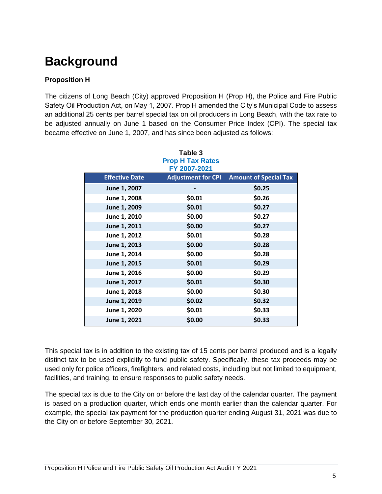# <span id="page-6-0"></span>**Background**

### **Proposition H**

The citizens of Long Beach (City) approved Proposition H (Prop H), the Police and Fire Public Safety Oil Production Act, on May 1, 2007. Prop H amended the City's Municipal Code to assess an additional 25 cents per barrel special tax on oil producers in Long Beach, with the tax rate to be adjusted annually on June 1 based on the Consumer Price Index (CPI). The special tax became effective on June 1, 2007, and has since been adjusted as follows:

|                       | Table 3<br><b>Prop H Tax Rates</b><br>FY 2007-2021 |                              |
|-----------------------|----------------------------------------------------|------------------------------|
| <b>Effective Date</b> | <b>Adjustment for CPI</b>                          | <b>Amount of Special Tax</b> |
| June 1, 2007          |                                                    | \$0.25                       |
| June 1, 2008          | \$0.01                                             | \$0.26                       |
| June 1, 2009          | \$0.01                                             | \$0.27                       |
| June 1, 2010          | \$0.00                                             | \$0.27                       |
| June 1, 2011          | \$0.00                                             | \$0.27                       |
| June 1, 2012          | \$0.01                                             | \$0.28                       |
| June 1, 2013          | \$0.00                                             | \$0.28                       |
| June 1, 2014          | \$0.00                                             | \$0.28                       |
| June 1, 2015          | \$0.01                                             | \$0.29                       |
| June 1, 2016          | \$0.00                                             | \$0.29                       |
| June 1, 2017          | \$0.01                                             | \$0.30                       |
| June 1, 2018          | \$0.00                                             | \$0.30                       |
| June 1, 2019          | \$0.02                                             | \$0.32                       |
| June 1, 2020          | \$0.01                                             | \$0.33                       |
| June 1, 2021          | \$0.00                                             | \$0.33                       |

This special tax is in addition to the existing tax of 15 cents per barrel produced and is a legally distinct tax to be used explicitly to fund public safety. Specifically, these tax proceeds may be used only for police officers, firefighters, and related costs, including but not limited to equipment, facilities, and training, to ensure responses to public safety needs.

The special tax is due to the City on or before the last day of the calendar quarter. The payment is based on a production quarter, which ends one month earlier than the calendar quarter. For example, the special tax payment for the production quarter ending August 31, 2021 was due to the City on or before September 30, 2021.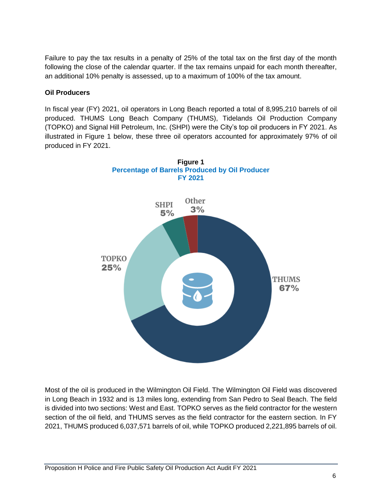Failure to pay the tax results in a penalty of 25% of the total tax on the first day of the month following the close of the calendar quarter. If the tax remains unpaid for each month thereafter, an additional 10% penalty is assessed, up to a maximum of 100% of the tax amount.

### **Oil Producers**

In fiscal year (FY) 2021, oil operators in Long Beach reported a total of 8,995,210 barrels of oil produced. THUMS Long Beach Company (THUMS), Tidelands Oil Production Company (TOPKO) and Signal Hill Petroleum, Inc. (SHPI) were the City's top oil producers in FY 2021. As illustrated in Figure 1 below, these three oil operators accounted for approximately 97% of oil produced in FY 2021.



Most of the oil is produced in the Wilmington Oil Field. The Wilmington Oil Field was discovered in Long Beach in 1932 and is 13 miles long, extending from San Pedro to Seal Beach. The field is divided into two sections: West and East. TOPKO serves as the field contractor for the western section of the oil field, and THUMS serves as the field contractor for the eastern section. In FY 2021, THUMS produced 6,037,571 barrels of oil, while TOPKO produced 2,221,895 barrels of oil.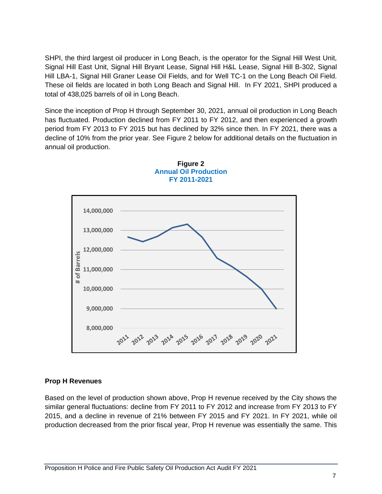SHPI, the third largest oil producer in Long Beach, is the operator for the Signal Hill West Unit, Signal Hill East Unit, Signal Hill Bryant Lease, Signal Hill H&L Lease, Signal Hill B-302, Signal Hill LBA-1, Signal Hill Graner Lease Oil Fields, and for Well TC-1 on the Long Beach Oil Field. These oil fields are located in both Long Beach and Signal Hill. In FY 2021, SHPI produced a total of 438,025 barrels of oil in Long Beach.

Since the inception of Prop H through September 30, 2021, annual oil production in Long Beach has fluctuated. Production declined from FY 2011 to FY 2012, and then experienced a growth period from FY 2013 to FY 2015 but has declined by 32% since then. In FY 2021, there was a decline of 10% from the prior year. See Figure 2 below for additional details on the fluctuation in annual oil production.





### **Prop H Revenues**

Based on the level of production shown above, Prop H revenue received by the City shows the similar general fluctuations: decline from FY 2011 to FY 2012 and increase from FY 2013 to FY 2015, and a decline in revenue of 21% between FY 2015 and FY 2021. In FY 2021, while oil production decreased from the prior fiscal year, Prop H revenue was essentially the same. This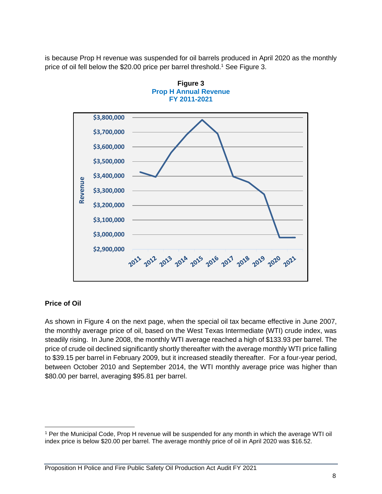is because Prop H revenue was suspended for oil barrels produced in April 2020 as the monthly price of oil fell below the \$20.00 price per barrel threshold.<sup>1</sup> See Figure 3.





### **Price of Oil**

As shown in Figure 4 on the next page, when the special oil tax became effective in June 2007, the monthly average price of oil, based on the West Texas Intermediate (WTI) crude index, was steadily rising. In June 2008, the monthly WTI average reached a high of \$133.93 per barrel. The price of crude oil declined significantly shortly thereafter with the average monthly WTI price falling to \$39.15 per barrel in February 2009, but it increased steadily thereafter. For a four-year period, between October 2010 and September 2014, the WTI monthly average price was higher than \$80.00 per barrel, averaging \$95.81 per barrel.

<sup>1</sup> Per the Municipal Code, Prop H revenue will be suspended for any month in which the average WTI oil index price is below \$20.00 per barrel. The average monthly price of oil in April 2020 was \$16.52.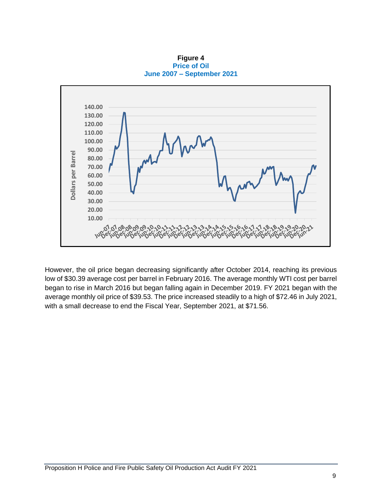**Figure 4 Price of Oil June 2007 – September 2021**



However, the oil price began decreasing significantly after October 2014, reaching its previous low of \$30.39 average cost per barrel in February 2016. The average monthly WTI cost per barrel began to rise in March 2016 but began falling again in December 2019. FY 2021 began with the average monthly oil price of \$39.53. The price increased steadily to a high of \$72.46 in July 2021, with a small decrease to end the Fiscal Year, September 2021, at \$71.56.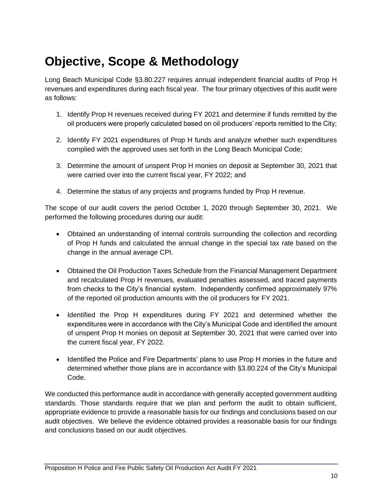# <span id="page-11-0"></span>**Objective, Scope & Methodology**

Long Beach Municipal Code §3.80.227 requires annual independent financial audits of Prop H revenues and expenditures during each fiscal year. The four primary objectives of this audit were as follows:

- 1. Identify Prop H revenues received during FY 2021 and determine if funds remitted by the oil producers were properly calculated based on oil producers' reports remitted to the City;
- 2. Identify FY 2021 expenditures of Prop H funds and analyze whether such expenditures complied with the approved uses set forth in the Long Beach Municipal Code;
- 3. Determine the amount of unspent Prop H monies on deposit at September 30, 2021 that were carried over into the current fiscal year, FY 2022; and
- 4. Determine the status of any projects and programs funded by Prop H revenue.

The scope of our audit covers the period October 1, 2020 through September 30, 2021. We performed the following procedures during our audit:

- Obtained an understanding of internal controls surrounding the collection and recording of Prop H funds and calculated the annual change in the special tax rate based on the change in the annual average CPI.
- Obtained the Oil Production Taxes Schedule from the Financial Management Department and recalculated Prop H revenues, evaluated penalties assessed, and traced payments from checks to the City's financial system. Independently confirmed approximately 97% of the reported oil production amounts with the oil producers for FY 2021.
- Identified the Prop H expenditures during FY 2021 and determined whether the expenditures were in accordance with the City's Municipal Code and identified the amount of unspent Prop H monies on deposit at September 30, 2021 that were carried over into the current fiscal year, FY 2022.
- Identified the Police and Fire Departments' plans to use Prop H monies in the future and determined whether those plans are in accordance with §3.80.224 of the City's Municipal Code.

We conducted this performance audit in accordance with generally accepted government auditing standards. Those standards require that we plan and perform the audit to obtain sufficient, appropriate evidence to provide a reasonable basis for our findings and conclusions based on our audit objectives. We believe the evidence obtained provides a reasonable basis for our findings and conclusions based on our audit objectives.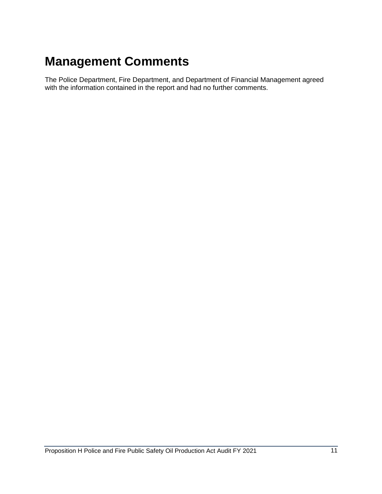# <span id="page-12-0"></span>**Management Comments**

The Police Department, Fire Department, and Department of Financial Management agreed with the information contained in the report and had no further comments.